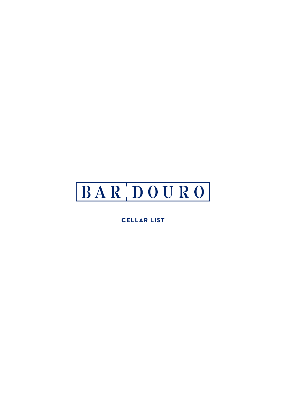# BARDOURO

**CELLAR LIST**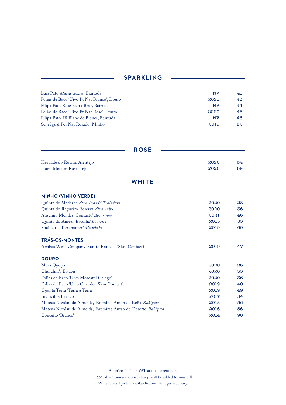### **SPARKLING**

| Luis Pato Maria Gomes, Bairrada            | <b>NV</b> | 41 |
|--------------------------------------------|-----------|----|
| Folias de Baco 'Uivo Pt Nat Branco', Douro | 2021      | 43 |
| Filipa Pato Rose Extra Brut, Bairrada      | <b>NV</b> | 44 |
| Folias de Baco 'Uivo Pt Nat Rose', Douro   | 2020      | 45 |
| Filipa Pato 3B Blanc de Blancs, Bairrada   | <b>NV</b> | 46 |
| Sem Igual Pet Nat Rosado, Minho            | 2019      | 52 |

| <b>ROSÉ</b>                                         |      |    |
|-----------------------------------------------------|------|----|
| Herdade do Rocim, Alentejo                          | 2020 | 34 |
| Hugo Mendes Rose, Tejo                              | 2020 | 69 |
| <b>WHITE</b>                                        |      |    |
| <b>MINHO (VINHO VERDE)</b>                          |      |    |
| Quinta de Maderne Alvarinho & Trajadura             | 2020 | 28 |
| Quinta do Regueiro Reserva Alvarinho                | 2020 | 36 |
| Anselmo Mendes 'Contacto' Alvarinho                 | 2021 | 46 |
| Quinta do Ameal 'Escolha' Loureiro                  | 2015 | 55 |
| Soalheiro 'Terramatter' Alvarinho                   | 2019 | 60 |
| <b>TRÁS-OS-MONTES</b>                               |      |    |
| Arribas Wine Company 'Saroto Branco' (Skin Contact) | 2019 | 47 |
| <b>DOURO</b>                                        |      |    |
| Meio Queijo                                         | 2020 | 26 |
| Churchill's Estates                                 | 2020 | 35 |
| Folias de Baco 'Uivo Moscatel Galego'               | 2020 | 36 |
| Folias de Baco 'Uivo Curtido' (Skin Contact)        | 2019 | 40 |
| Quanta Terra 'Terra a Terra'                        | 2019 | 49 |
| Invincible Branco                                   | 2017 | 54 |

All prices include VAT at the current rate. 12.5% discretionary service charge will be added to your bill Wines are subject to availability and vintages may vary.

Mateus Nicolau de Almeida, 'Eremitas Amon de Kelia' *Rabigato* 2018 56 Mateus Nicolau de Almeida, 'Eremitas Antao do Deserto' *Rabigato* 2016 56<br>Conceito 'Branco' 2014 90 Conceito 'Branco' 2014 90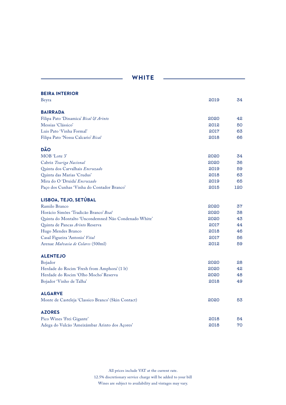| <b>BEIRA INTERIOR</b>                                |      |     |
|------------------------------------------------------|------|-----|
| Beyra                                                | 2019 | 34  |
| <b>BAIRRADA</b>                                      |      |     |
| Filipa Pato 'Dinamica' Bical & Arinto                | 2020 | 42  |
| Messias 'Clássico'                                   | 2012 | 50  |
| Luis Pato 'Vinha Formal'                             | 2017 | 63  |
| Filipa Pato 'Nossa Calcario' Bical                   | 2018 | 66  |
| <b>DÃO</b>                                           |      |     |
| MOB 'Lote 3'                                         | 2020 | 34  |
| Cabriz Touriga Nacional                              | 2020 | 36  |
| Quinta dos Carvalhais Encruzado                      | 2019 | 59  |
| Quinta das Marias 'Crudus'                           | 2018 | 63  |
| Mira do O 'Druida' Encruzado                         | 2019 | 65  |
| Paço dos Cunhas 'Vinha do Contador Branco'           | 2015 | 120 |
| LISBOA, TEJO, SETÚBAL                                |      |     |
| Ramilo Branco                                        | 2020 | 37  |
| Horácio Simões 'Tradicão Branco' Boal                | 2020 | 38  |
| Quinta do Montalto 'Uncondemned Não Condenado White' | 2020 | 43  |
| Quinta de Pancas Arinto Reserva                      | 2017 | 44  |
| Hugo Mendes Branco                                   | 2018 | 46  |
| Casal Figueira 'Antonio' Vital                       | 2017 | 56  |
| Arenae Malvasia de Colares (500ml)                   | 2012 | 59  |
| <b>ALENTEJO</b>                                      |      |     |
| Bojador                                              | 2020 | 28  |
| Herdade do Rocim 'Fresh from Amphora' (1 lt)         | 2020 | 42  |
| Herdade do Rocim 'Olho Mocho' Reserva                | 2020 | 48  |
| Bojador 'Vinho de Talha'                             | 2018 | 49  |
| <b>ALGARVE</b>                                       |      |     |
| Monte de Casteleja 'Classico Branco' (Skin Contact)  | 2020 | 53  |
| <b>AZORES</b>                                        |      |     |
| Pico Wines 'Frei Gigante'                            | 2018 | 54  |
| Adega do Vulcão 'Ameixâmbar Arinto dos Açores'       | 2018 | 70  |

**WHITE**

All prices include VAT at the current rate. 12.5% discretionary service charge will be added to your bill Wines are subject to availability and vintages may vary.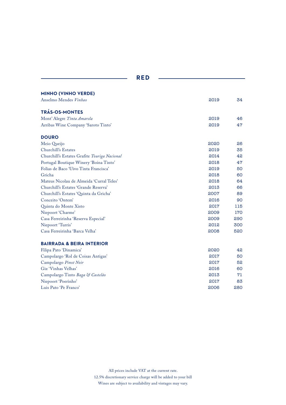| <b>MINHO (VINHO VERDE)</b>                   |      |     |
|----------------------------------------------|------|-----|
| Anselmo Mendes Vinhao                        | 2019 | 34  |
| <b>TRÁS-OS-MONTES</b>                        |      |     |
| Mont' Alegre Tinta Amarela                   | 2019 | 46  |
| Arribas Wine Company 'Saroto Tinto'          | 2019 | 47  |
| <b>DOURO</b>                                 |      |     |
| Meio Queijo                                  | 2020 | 26  |
| Churchill's Estates                          | 2019 | 35  |
| Churchill's Estates Grafite Touriga Nacional | 2014 | 42  |
| Portugal Boutique Winery 'Boina Tinto'       | 2018 | 47  |
| Folias de Baco 'Uivo Tinta Francisca'        | 2019 | 50  |
| Gricha                                       | 2018 | 60  |
| Mateus Nicolau de Almeida 'Curral Teles'     | 2018 | 64  |
| Churchill's Estates 'Grande Reserva'         | 2013 | 66  |
| Churchill's Estates 'Quinta da Gricha'       | 2007 | 89  |
| Conceito 'Ontem'                             | 2016 | 90  |
| Quinta do Monte Xisto                        | 2017 | 115 |
| Niepoort 'Charme'                            | 2009 | 170 |
| Casa Ferreirinha 'Reserva Especial'          | 2009 | 290 |
| Niepoort 'Turris'                            | 2012 | 300 |
| Casa Ferreirinha 'Barca Velha'               | 2008 | 520 |
| <b>BAIRRADA &amp; BEIRA INTERIOR</b>         |      |     |
| Filipa Pato 'Dinamica'                       | 2020 | 42  |
| Campolargo 'Rol de Coisas Antigas'           | 2017 | 50  |
| Campolargo Pinot Noir                        | 2017 | 52  |
| Giz 'Vinhas Velhas'                          | 2016 | 60  |
| Campolargo Tinto Baga & Castelão             | 2013 | 71  |
| Niepoort 'Poerinho'                          | 2017 | 83  |
| Luis Pato 'Pe Franco'                        | 2006 | 280 |

**RED**

All prices include VAT at the current rate. 12.5% discretionary service charge will be added to your bill Wines are subject to availability and vintages may vary.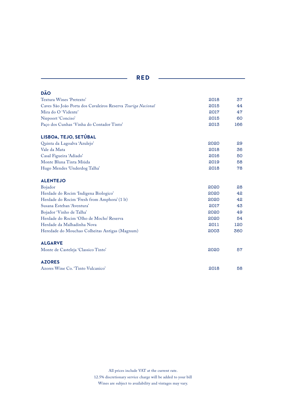| DÃO                                                          |      |     |
|--------------------------------------------------------------|------|-----|
| Textura Wines 'Pretexto'                                     | 2018 | 37  |
| Caves São João Porta dos Cavaleiros Reserva Touriga Nacional | 2015 | 44  |
| Mira do O 'Vidente'                                          | 2017 | 47  |
| Niepoort 'Conciso'                                           | 2015 | 60  |
| Paço dos Cunhas 'Vinha do Contador Tinto'                    | 2013 | 166 |
| LISBOA, TEJO, SETÚBAL                                        |      |     |
| Quinta da Lagoalva 'Azulejo'                                 | 2020 | 29  |
| Vale da Mata                                                 | 2018 | 36  |
| Casal Figueira 'Adiado'                                      | 2016 | 50  |
| Monte Bluna Tinta Miúda                                      | 2019 | 58  |
| Hugo Mendes 'Underdog Talha'                                 | 2018 | 78  |
| <b>ALENTEJO</b>                                              |      |     |
| Bojador                                                      | 2020 | 28  |
| Herdade do Rocim 'Indigena Biologico'                        | 2020 | 42  |
| Herdade do Rocim 'Fresh from Amphora' (1 lt)                 | 2020 | 42  |
| Susana Esteban 'Aventura'                                    | 2017 | 43  |
| Bojador 'Vinho de Talha'                                     | 2020 | 49  |
| Herdade do Rocim 'Olho de Mocho' Reserva                     | 2020 | 54  |
| Herdade da Malhadinha Nova                                   | 2011 | 120 |
| Heredade do Mouchao Colheitas Antigas (Magnum)               | 2003 | 360 |
| <b>ALGARVE</b>                                               |      |     |
| Monte de Casteleja 'Classico Tinto'                          | 2020 | 57  |
| <b>AZORES</b>                                                |      |     |
| Azores Wine Co. 'Tinto Vulcanico'                            | 2018 | 58  |

**RED**

All prices include VAT at the current rate. 12.5% discretionary service charge will be added to your bill Wines are subject to availability and vintages may vary.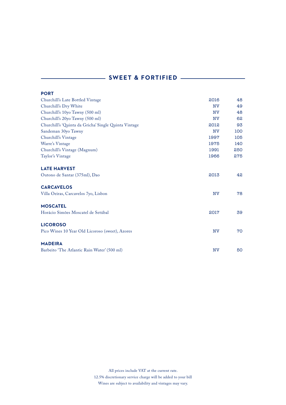## **SWEET & FORTIFIED** ————

| <b>PORT</b>                                          |           |     |
|------------------------------------------------------|-----------|-----|
| Churchill's Late Bottled Vintage                     | 2016      | 48  |
| Churchill's Dry White                                | <b>NV</b> | 49  |
| Churchill's 10yo Tawny (500 ml)                      | <b>NV</b> | 48  |
| Churchill's 20yo Tawny (500 ml)                      | <b>NV</b> | 62  |
| Churchill's 'Quinta da Gricha' Single Quinta Vintage | 2012      | 93  |
| Sandeman 30yo Tawny                                  | <b>NV</b> | 100 |
| Churchill's Vintage                                  | 1997      | 105 |
| Warre's Vintage                                      | 1975      | 140 |
| Churchill's Vintage (Magnum)                         | 1991      | 250 |
| Taylor's Vintage                                     | 1966      | 275 |
| <b>LATE HARVEST</b>                                  |           |     |
| Outono de Santar (375ml), Dao                        | 2013      | 42  |
| <b>CARCAVELOS</b>                                    |           |     |
| Villa Oeiras, Carcavelos 7yo, Lisbon                 | <b>NV</b> | 78  |
| <b>MOSCATEL</b>                                      |           |     |
| Horácio Simões Moscatel de Setúbal                   | 2017      | 39  |
| <b>LICOROSO</b>                                      |           |     |
| Pico Wines 10 Year Old Licoroso (sweet), Azores      | <b>NV</b> | 70  |
| <b>MADEIRA</b>                                       |           |     |
| Barbeito 'The Atlantic Rain Water' (500 ml)          | <b>NV</b> | 50  |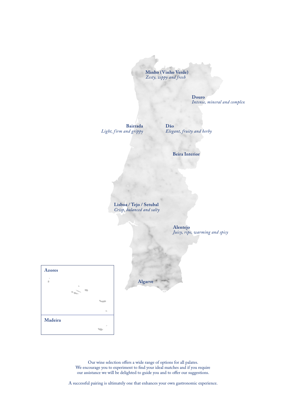**Minho (Vinho Verde)** *Zesty, zippy and fresh*

> **Douro** *Intense, mineral and complex*

**Bairrada** *Light, f irm and grippy*

**Dão** *Elegant, fruity and herby*

**Beira Interior**

**Lisboa / Tejo / Setubal** *Crisp, balanced and salty*

> **Alentejo** *Juicy, ripe, warming and spicy*





Our wine selection offers a wide range of options for all palates. We encourage you to experiment to find your ideal matches and if you require our assistance we will be delighted to guide you and to offer our suggestions.

A successful pairing is ultimately one that enhances your own gastronomic experience.